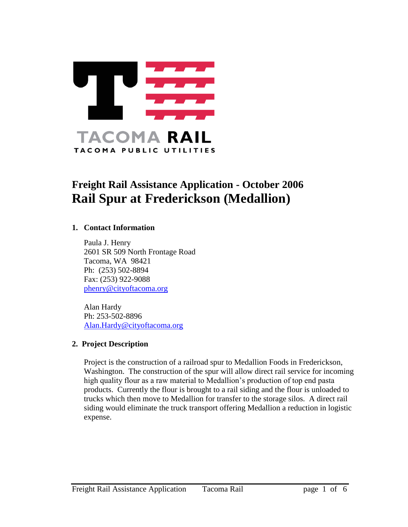

# **Freight Rail Assistance Application - October 2006 Rail Spur at Frederickson (Medallion)**

#### **1. Contact Information**

Paula J. Henry 2601 SR 509 North Frontage Road Tacoma, WA 98421 Ph: (253) 502-8894 Fax: (253) 922-9088 [phenry@cityoftacoma.org](mailto:phenry@cityoftacoma.org)

Alan Hardy Ph: 253-502-8896 [Alan.Hardy@cityoftacoma.org](mailto:Alan.Hardy@cityoftacoma.org)

# **2. Project Description**

Project is the construction of a railroad spur to Medallion Foods in Frederickson, Washington. The construction of the spur will allow direct rail service for incoming high quality flour as a raw material to Medallion's production of top end pasta products. Currently the flour is brought to a rail siding and the flour is unloaded to trucks which then move to Medallion for transfer to the storage silos. A direct rail siding would eliminate the truck transport offering Medallion a reduction in logistic expense.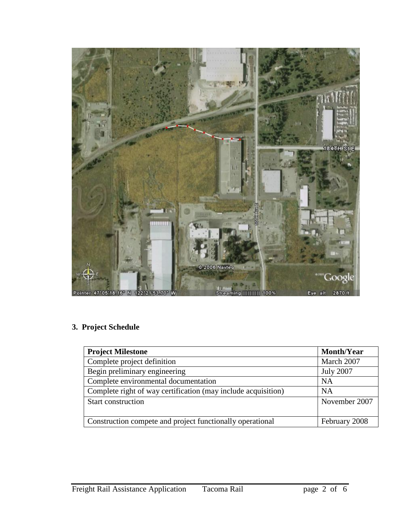

# **3. Project Schedule**

| <b>Project Milestone</b>                                      | <b>Month/Year</b> |
|---------------------------------------------------------------|-------------------|
| Complete project definition                                   | March 2007        |
| Begin preliminary engineering                                 | <b>July 2007</b>  |
| Complete environmental documentation                          | <b>NA</b>         |
| Complete right of way certification (may include acquisition) | <b>NA</b>         |
| Start construction                                            | November 2007     |
| Construction compete and project functionally operational     | February 2008     |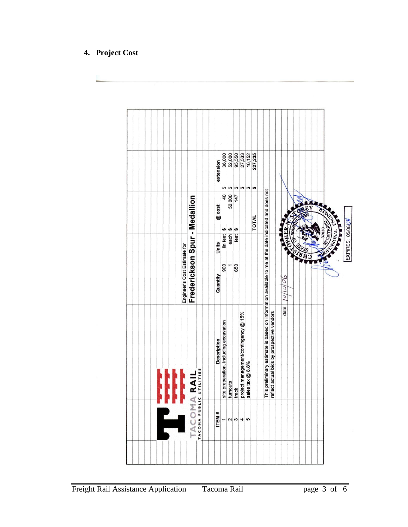

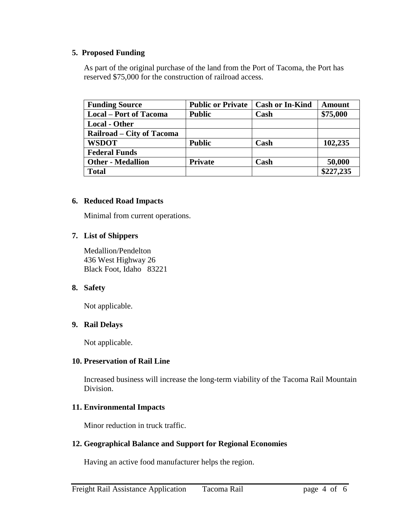#### **5. Proposed Funding**

As part of the original purchase of the land from the Port of Tacoma, the Port has reserved \$75,000 for the construction of railroad access.

| <b>Funding Source</b>         | <b>Public or Private</b> | <b>Cash or In-Kind</b> | <b>Amount</b> |
|-------------------------------|--------------------------|------------------------|---------------|
| <b>Local – Port of Tacoma</b> | <b>Public</b>            | Cash                   | \$75,000      |
| <b>Local - Other</b>          |                          |                        |               |
| Railroad – City of Tacoma     |                          |                        |               |
| <b>WSDOT</b>                  | <b>Public</b>            | Cash                   | 102,235       |
| <b>Federal Funds</b>          |                          |                        |               |
| <b>Other - Medallion</b>      | <b>Private</b>           | Cash                   | 50,000        |
| <b>Total</b>                  |                          |                        | \$227,235     |

#### **6. Reduced Road Impacts**

Minimal from current operations.

#### **7. List of Shippers**

Medallion/Pendelton 436 West Highway 26 Black Foot, Idaho 83221

# **8. Safety**

Not applicable.

# **9. Rail Delays**

Not applicable.

#### **10. Preservation of Rail Line**

Increased business will increase the long-term viability of the Tacoma Rail Mountain Division.

# **11. Environmental Impacts**

Minor reduction in truck traffic.

# **12. Geographical Balance and Support for Regional Economies**

Having an active food manufacturer helps the region.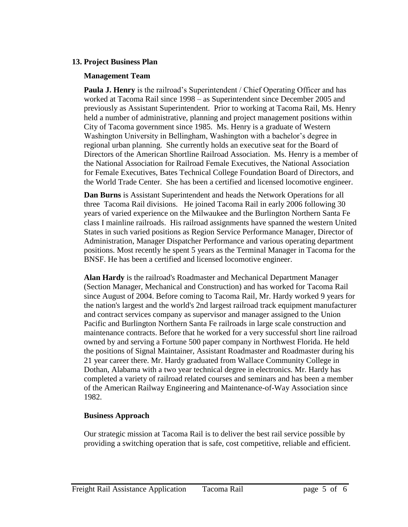#### **13. Project Business Plan**

#### **Management Team**

**Paula J. Henry** is the railroad's Superintendent / Chief Operating Officer and has worked at Tacoma Rail since 1998 – as Superintendent since December 2005 and previously as Assistant Superintendent. Prior to working at Tacoma Rail, Ms. Henry held a number of administrative, planning and project management positions within City of Tacoma government since 1985. Ms. Henry is a graduate of Western Washington University in Bellingham, Washington with a bachelor's degree in regional urban planning. She currently holds an executive seat for the Board of Directors of the American Shortline Railroad Association. Ms. Henry is a member of the National Association for Railroad Female Executives, the National Association for Female Executives, Bates Technical College Foundation Board of Directors, and the World Trade Center. She has been a certified and licensed locomotive engineer.

**Dan Burns** is Assistant Superintendent and heads the Network Operations for all three Tacoma Rail divisions. He joined Tacoma Rail in early 2006 following 30 years of varied experience on the Milwaukee and the Burlington Northern Santa Fe class I mainline railroads. His railroad assignments have spanned the western United States in such varied positions as Region Service Performance Manager, Director of Administration, Manager Dispatcher Performance and various operating department positions. Most recently he spent 5 years as the Terminal Manager in Tacoma for the BNSF. He has been a certified and licensed locomotive engineer.

**Alan Hardy** is the railroad's Roadmaster and Mechanical Department Manager (Section Manager, Mechanical and Construction) and has worked for Tacoma Rail since August of 2004. Before coming to Tacoma Rail, Mr. Hardy worked 9 years for the nation's largest and the world's 2nd largest railroad track equipment manufacturer and contract services company as supervisor and manager assigned to the Union Pacific and Burlington Northern Santa Fe railroads in large scale construction and maintenance contracts. Before that he worked for a very successful short line railroad owned by and serving a Fortune 500 paper company in Northwest Florida. He held the positions of Signal Maintainer, Assistant Roadmaster and Roadmaster during his 21 year career there. Mr. Hardy graduated from Wallace Community College in Dothan, Alabama with a two year technical degree in electronics. Mr. Hardy has completed a variety of railroad related courses and seminars and has been a member of the American Railway Engineering and Maintenance-of-Way Association since 1982.

# **Business Approach**

Our strategic mission at Tacoma Rail is to deliver the best rail service possible by providing a switching operation that is safe, cost competitive, reliable and efficient.